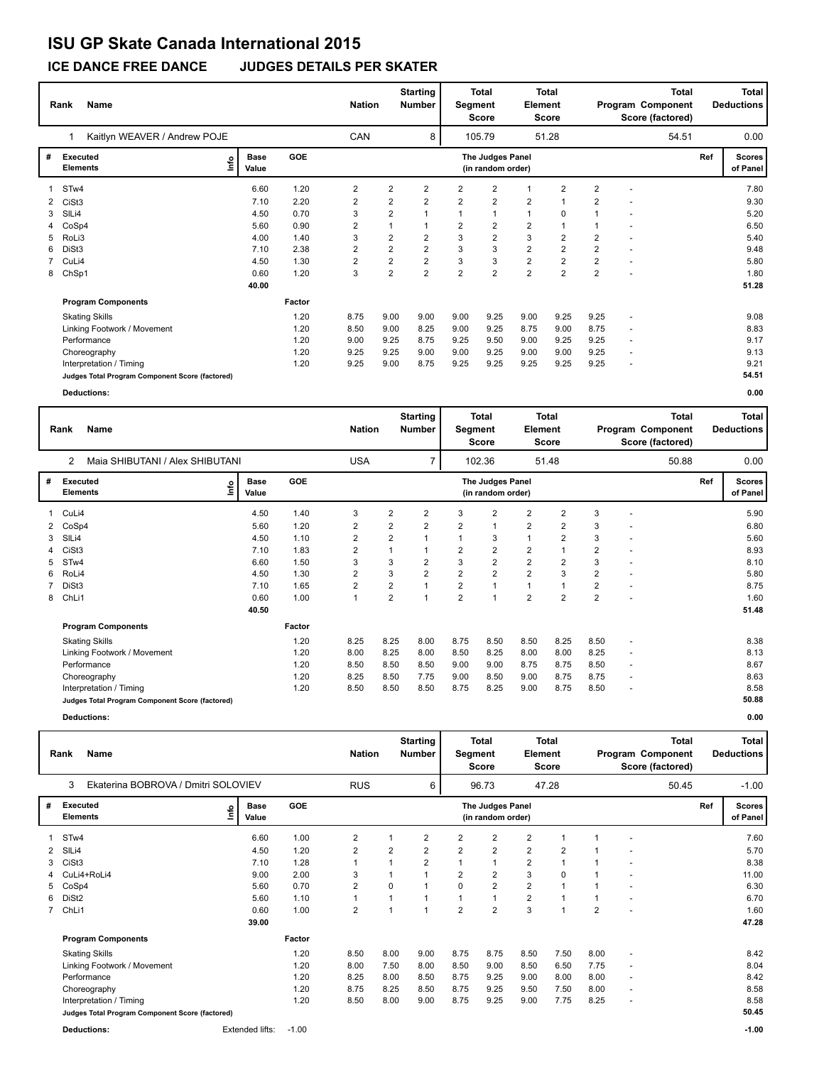# **ISU GP Skate Canada International 2015**

**ICE DANCE FREE DANCE JUDGES DETAILS PER SKATER**

|              | Name<br>Rank                                    | <b>Nation</b>        |            | <b>Starting</b><br><b>Number</b> | Segment                 | <b>Total</b><br><b>Score</b> | <b>Element</b> | <b>Total</b><br>Score                 | <b>Total</b><br>Program Component<br>Score (factored) |                         |                |   | <b>Total</b><br><b>Deductions</b> |     |                           |
|--------------|-------------------------------------------------|----------------------|------------|----------------------------------|-------------------------|------------------------------|----------------|---------------------------------------|-------------------------------------------------------|-------------------------|----------------|---|-----------------------------------|-----|---------------------------|
|              | Kaitlyn WEAVER / Andrew POJE                    |                      |            | CAN                              |                         | 8                            |                | 105.79                                |                                                       | 51.28                   |                |   | 54.51                             |     | 0.00                      |
| #            | Executed<br>١m<br><b>Elements</b>               | <b>Base</b><br>Value | <b>GOE</b> |                                  |                         |                              |                | The Judges Panel<br>(in random order) |                                                       |                         |                |   |                                   | Ref | <b>Scores</b><br>of Panel |
| 1            | STw4                                            | 6.60                 | 1.20       | 2                                | $\overline{2}$          | $\overline{2}$               | 2              | $\overline{2}$                        |                                                       | $\overline{2}$          | $\overline{2}$ | ÷ |                                   |     | 7.80                      |
| $\mathbf{2}$ | CiSt3                                           | 7.10                 | 2.20       | 2                                | 2                       | 2                            | 2              | $\overline{2}$                        | $\overline{2}$                                        |                         | $\overline{2}$ |   |                                   |     | 9.30                      |
| 3            | SILi4                                           | 4.50                 | 0.70       | 3                                | $\overline{2}$          |                              |                | $\mathbf{1}$                          | $\mathbf{1}$                                          | 0                       |                |   |                                   |     | 5.20                      |
| 4            | CoSp4                                           | 5.60                 | 0.90       | $\overline{2}$                   | 1                       |                              | 2              | $\overline{2}$                        | $\overline{2}$                                        |                         |                | ٠ |                                   |     | 6.50                      |
| 5.           | RoLi3                                           | 4.00                 | 1.40       | 3                                | $\overline{\mathbf{c}}$ | 2                            | 3              | $\overline{2}$                        | 3                                                     | 2                       | $\overline{2}$ | ٠ |                                   |     | 5.40                      |
| 6            | DiSt3                                           | 7.10                 | 2.38       | $\overline{2}$                   | $\overline{2}$          | $\overline{2}$               | 3              | 3                                     | $\overline{2}$                                        | $\overline{2}$          | $\overline{2}$ | ÷ |                                   |     | 9.48                      |
|              | CuLi4                                           | 4.50                 | 1.30       | 2                                | $\overline{2}$          | 2                            | 3              | 3                                     | $\overline{2}$                                        | $\overline{\mathbf{c}}$ | $\overline{2}$ | ٠ |                                   |     | 5.80                      |
| 8            | ChSp1                                           | 0.60                 | 1.20       | 3                                | $\overline{2}$          | $\overline{2}$               | $\overline{2}$ | $\overline{2}$                        | $\overline{2}$                                        | $\overline{2}$          | $\overline{2}$ |   |                                   |     | 1.80                      |
|              |                                                 | 40.00                |            |                                  |                         |                              |                |                                       |                                                       |                         |                |   |                                   |     | 51.28                     |
|              | <b>Program Components</b>                       |                      | Factor     |                                  |                         |                              |                |                                       |                                                       |                         |                |   |                                   |     |                           |
|              | <b>Skating Skills</b>                           |                      | 1.20       | 8.75                             | 9.00                    | 9.00                         | 9.00           | 9.25                                  | 9.00                                                  | 9.25                    | 9.25           | ٠ |                                   |     | 9.08                      |
|              | Linking Footwork / Movement                     |                      | 1.20       | 8.50                             | 9.00                    | 8.25                         | 9.00           | 9.25                                  | 8.75                                                  | 9.00                    | 8.75           | ٠ |                                   |     | 8.83                      |
|              | Performance                                     |                      | 1.20       | 9.00                             | 9.25                    | 8.75                         | 9.25           | 9.50                                  | 9.00                                                  | 9.25                    | 9.25           | ٠ |                                   |     | 9.17                      |
|              | Choreography                                    |                      | 1.20       | 9.25                             | 9.25                    | 9.00                         | 9.00           | 9.25                                  | 9.00                                                  | 9.00                    | 9.25           | ٠ |                                   |     | 9.13                      |
|              | Interpretation / Timing                         |                      | 1.20       | 9.25                             | 9.00                    | 8.75                         | 9.25           | 9.25                                  | 9.25                                                  | 9.25                    | 9.25           | ÷ |                                   |     | 9.21                      |
|              | Judges Total Program Component Score (factored) |                      |            |                                  |                         |                              |                |                                       |                                                       |                         |                |   |                                   |     | 54.51                     |

**Deductions: 0.00**

|   | <b>Name</b><br>Rank                             |      |                      |            |                | <b>Nation</b>  | <b>Starting</b><br><b>Number</b> | <b>Total</b><br><b>Total</b><br>Segment<br><b>Element</b><br><b>Score</b><br><b>Score</b> |                                       |                |                |                |                          | <b>Total</b><br>Program Component<br>Score (factored) |     | <b>Total</b><br><b>Deductions</b> |
|---|-------------------------------------------------|------|----------------------|------------|----------------|----------------|----------------------------------|-------------------------------------------------------------------------------------------|---------------------------------------|----------------|----------------|----------------|--------------------------|-------------------------------------------------------|-----|-----------------------------------|
|   | Maia SHIBUTANI / Alex SHIBUTANI<br>2            |      |                      |            | <b>USA</b>     |                | $\overline{7}$                   |                                                                                           | 102.36                                |                | 51.48          |                |                          | 50.88                                                 |     | 0.00                              |
| # | <b>Executed</b><br><b>Elements</b>              | ١nfo | <b>Base</b><br>Value | <b>GOE</b> |                |                |                                  |                                                                                           | The Judges Panel<br>(in random order) |                |                |                |                          |                                                       | Ref | <b>Scores</b><br>of Panel         |
|   | CuLi4                                           |      | 4.50                 | 1.40       | 3              | $\overline{2}$ | 2                                | 3                                                                                         | $\overline{2}$                        | 2              | $\overline{2}$ | 3              |                          |                                                       |     | 5.90                              |
| 2 | CoSp4                                           |      | 5.60                 | 1.20       | $\overline{2}$ | 2              | $\overline{2}$                   | $\overline{2}$                                                                            | 1                                     | $\overline{2}$ | $\overline{2}$ | 3              |                          |                                                       |     | 6.80                              |
| 3 | SIL <sub>i4</sub>                               |      | 4.50                 | 1.10       | $\overline{2}$ | 2              |                                  | $\mathbf{1}$                                                                              | 3                                     | $\mathbf{1}$   | $\overline{2}$ | 3              |                          |                                                       |     | 5.60                              |
|   | CiSt <sub>3</sub>                               |      | 7.10                 | 1.83       | $\overline{2}$ | $\mathbf{1}$   |                                  | $\overline{2}$                                                                            | $\overline{2}$                        | $\overline{2}$ | 1              | $\overline{2}$ |                          |                                                       |     | 8.93                              |
| 5 | STw4                                            |      | 6.60                 | 1.50       | 3              | 3              | $\overline{2}$                   | 3                                                                                         | 2                                     | 2              | $\overline{2}$ | 3              |                          |                                                       |     | 8.10                              |
| 6 | RoLi4                                           |      | 4.50                 | 1.30       | $\overline{2}$ | 3              | $\overline{2}$                   | $\overline{2}$                                                                            | $\overline{2}$                        | $\overline{2}$ | 3              | $\overline{2}$ |                          |                                                       |     | 5.80                              |
|   | DiSt <sub>3</sub>                               |      | 7.10                 | 1.65       | $\overline{2}$ | $\overline{2}$ |                                  | $\overline{2}$                                                                            | 1                                     | $\mathbf{1}$   | $\overline{1}$ | 2              |                          |                                                       |     | 8.75                              |
| 8 | ChLi1                                           |      | 0.60                 | 1.00       | $\mathbf{1}$   | $\overline{2}$ | 1                                | $\overline{2}$                                                                            | $\overline{1}$                        | $\overline{2}$ | $\overline{2}$ | $\overline{2}$ |                          |                                                       |     | 1.60                              |
|   |                                                 |      | 40.50                |            |                |                |                                  |                                                                                           |                                       |                |                |                |                          |                                                       |     | 51.48                             |
|   | <b>Program Components</b>                       |      |                      | Factor     |                |                |                                  |                                                                                           |                                       |                |                |                |                          |                                                       |     |                                   |
|   | <b>Skating Skills</b>                           |      |                      | 1.20       | 8.25           | 8.25           | 8.00                             | 8.75                                                                                      | 8.50                                  | 8.50           | 8.25           | 8.50           | $\sim$                   |                                                       |     | 8.38                              |
|   | Linking Footwork / Movement                     |      |                      | 1.20       | 8.00           | 8.25           | 8.00                             | 8.50                                                                                      | 8.25                                  | 8.00           | 8.00           | 8.25           | $\sim$                   |                                                       |     | 8.13                              |
|   | Performance                                     |      |                      | 1.20       | 8.50           | 8.50           | 8.50                             | 9.00                                                                                      | 9.00                                  | 8.75           | 8.75           | 8.50           | $\overline{\phantom{a}}$ |                                                       |     | 8.67                              |
|   | Choreography                                    |      |                      | 1.20       | 8.25           | 8.50           | 7.75                             | 9.00                                                                                      | 8.50                                  | 9.00           | 8.75           | 8.75           | $\sim$                   |                                                       |     | 8.63                              |
|   | Interpretation / Timing                         |      |                      | 1.20       | 8.50           | 8.50           | 8.50                             | 8.75                                                                                      | 8.25                                  | 9.00           | 8.75           | 8.50           | $\overline{\phantom{a}}$ |                                                       |     | 8.58                              |
|   | Judges Total Program Component Score (factored) |      |                      |            |                |                |                                  |                                                                                           |                                       |                |                |                |                          |                                                       |     | 50.88                             |
|   | <b>Deductions:</b>                              |      |                      |            |                |                |                                  |                                                                                           |                                       |                |                |                |                          |                                                       |     | 0.00                              |

|              | <b>Name</b><br>Rank                             |                       |       | <b>Starting</b><br><b>Nation</b><br><b>Number</b> |            | <b>Segment</b> | <b>Total</b><br><b>Score</b> | Element        | <b>Total</b><br><b>Score</b>                 |                |       | <b>Total</b><br>Program Component<br>Score (factored) |   | <b>Total</b><br><b>Deductions</b> |     |                           |
|--------------|-------------------------------------------------|-----------------------|-------|---------------------------------------------------|------------|----------------|------------------------------|----------------|----------------------------------------------|----------------|-------|-------------------------------------------------------|---|-----------------------------------|-----|---------------------------|
|              | Ekaterina BOBROVA / Dmitri SOLOVIEV<br>3        |                       |       |                                                   | <b>RUS</b> |                | 6                            |                | 96.73                                        |                | 47.28 |                                                       |   | 50.45                             |     | $-1.00$                   |
| #            | <b>Executed</b><br><b>Elements</b>              | Base<br>١nf٥<br>Value |       | GOE                                               |            |                |                              |                | <b>The Judges Panel</b><br>(in random order) |                |       |                                                       |   |                                   | Ref | <b>Scores</b><br>of Panel |
|              | STw4                                            |                       | 6.60  | 1.00                                              | 2          | $\mathbf{1}$   | 2                            | 2              | $\overline{2}$                               | $\overline{2}$ |       |                                                       |   |                                   |     | 7.60                      |
| $\mathbf{2}$ | SILi4                                           |                       | 4.50  | 1.20                                              | 2          | $\overline{2}$ | 2                            | 2              | $\overline{2}$                               | $\overline{2}$ | 2     |                                                       |   |                                   |     | 5.70                      |
| 3            | CiSt <sub>3</sub>                               |                       | 7.10  | 1.28                                              |            | $\mathbf{1}$   | $\overline{2}$               |                |                                              | 2              | 1     |                                                       |   |                                   |     | 8.38                      |
|              | CuLi4+RoLi4                                     |                       | 9.00  | 2.00                                              | 3          | 1              |                              | 2              | 2                                            | 3              | 0     |                                                       |   |                                   |     | 11.00                     |
| 5            | CoSp4                                           |                       | 5.60  | 0.70                                              | 2          | $\mathbf 0$    |                              | 0              | $\overline{2}$                               | $\overline{2}$ |       |                                                       |   |                                   |     | 6.30                      |
| 6            | DiSt2                                           |                       | 5.60  | 1.10                                              |            | $\mathbf{1}$   |                              |                |                                              | $\overline{2}$ |       |                                                       |   |                                   |     | 6.70                      |
| $7^{\circ}$  | ChLi1                                           |                       | 0.60  | 1.00                                              | 2          | 1              | 1                            | $\overline{2}$ | $\overline{2}$                               | 3              |       | $\overline{2}$                                        |   |                                   |     | 1.60                      |
|              |                                                 |                       | 39.00 |                                                   |            |                |                              |                |                                              |                |       |                                                       |   |                                   |     | 47.28                     |
|              | <b>Program Components</b>                       |                       |       | Factor                                            |            |                |                              |                |                                              |                |       |                                                       |   |                                   |     |                           |
|              | <b>Skating Skills</b>                           |                       |       | 1.20                                              | 8.50       | 8.00           | 9.00                         | 8.75           | 8.75                                         | 8.50           | 7.50  | 8.00                                                  |   |                                   |     | 8.42                      |
|              | Linking Footwork / Movement                     |                       |       | 1.20                                              | 8.00       | 7.50           | 8.00                         | 8.50           | 9.00                                         | 8.50           | 6.50  | 7.75                                                  |   |                                   |     | 8.04                      |
|              | Performance                                     |                       |       | 1.20                                              | 8.25       | 8.00           | 8.50                         | 8.75           | 9.25                                         | 9.00           | 8.00  | 8.00                                                  | ٠ |                                   |     | 8.42                      |
|              | Choreography                                    |                       |       | 1.20                                              | 8.75       | 8.25           | 8.50                         | 8.75           | 9.25                                         | 9.50           | 7.50  | 8.00                                                  |   |                                   |     | 8.58                      |
|              | Interpretation / Timing                         |                       |       | 1.20                                              | 8.50       | 8.00           | 9.00                         | 8.75           | 9.25                                         | 9.00           | 7.75  | 8.25                                                  |   |                                   |     | 8.58                      |
|              | Judges Total Program Component Score (factored) |                       |       |                                                   |            |                |                              |                |                                              |                |       |                                                       |   |                                   |     | 50.45                     |
|              | <b>Deductions:</b>                              | Extended lifts:       |       | $-1.00$                                           |            |                |                              |                |                                              |                |       |                                                       |   |                                   |     | $-1.00$                   |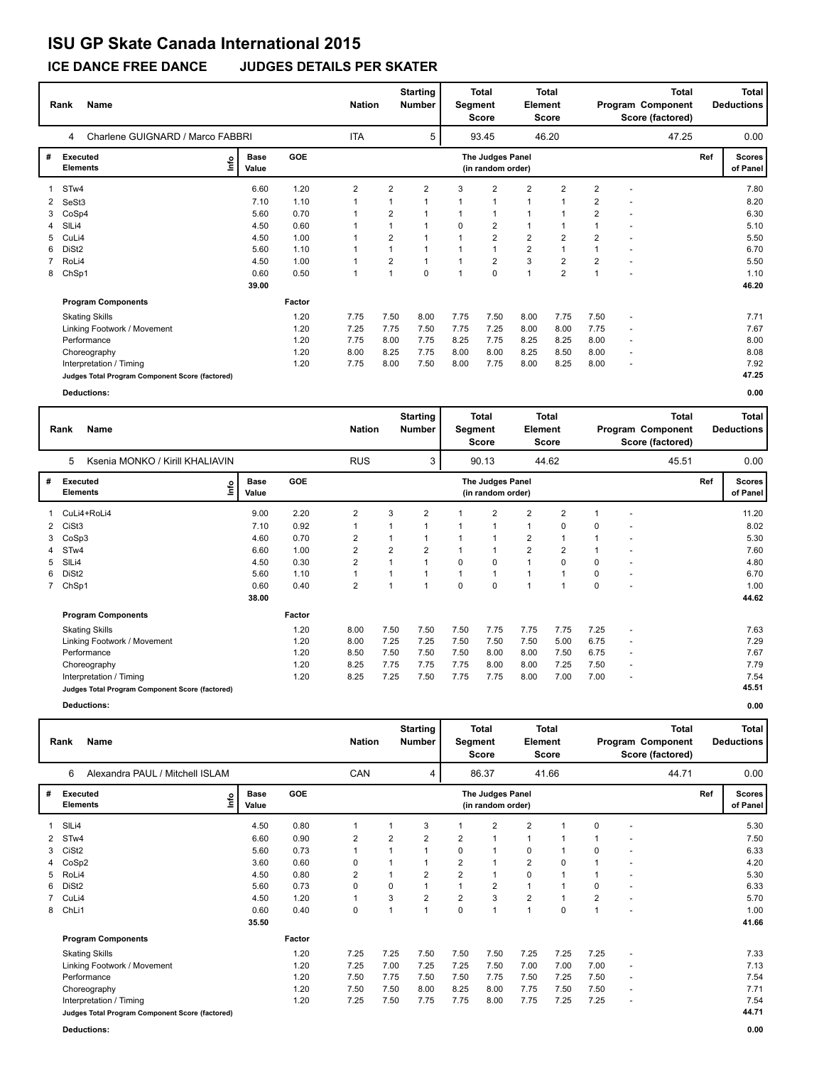# **ISU GP Skate Canada International 2015**

**ICE DANCE FREE DANCE JUDGES DETAILS PER SKATER**

|   | Rank<br>Name                                    | <b>Nation</b>        |            | <b>Starting</b><br><b>Number</b> | Segment        | <b>Total</b><br>Score | Element        | Total<br><b>Score</b>                 |                | Program Component<br>Score (factored) | <b>Total</b><br><b>Deductions</b> |                          |       |     |                           |
|---|-------------------------------------------------|----------------------|------------|----------------------------------|----------------|-----------------------|----------------|---------------------------------------|----------------|---------------------------------------|-----------------------------------|--------------------------|-------|-----|---------------------------|
|   | Charlene GUIGNARD / Marco FABBRI<br>4           |                      |            | ITA                              |                | 5                     |                | 93.45                                 |                | 46.20                                 |                                   |                          | 47.25 |     | 0.00                      |
| # | <b>Executed</b><br>lnfo<br><b>Elements</b>      | <b>Base</b><br>Value | <b>GOE</b> |                                  |                |                       |                | The Judges Panel<br>(in random order) |                |                                       |                                   |                          |       | Ref | <b>Scores</b><br>of Panel |
|   | STw4                                            | 6.60                 | 1.20       | $\overline{2}$                   | 2              | 2                     | 3              | 2                                     | 2              | $\overline{2}$                        | 2                                 |                          |       |     | 7.80                      |
| 2 | SeSt3                                           | 7.10                 | 1.10       |                                  |                |                       | $\overline{1}$ | 1                                     | $\mathbf{1}$   | $\overline{\mathbf{1}}$               | 2                                 |                          |       |     | 8.20                      |
| 3 | CoSp4                                           | 5.60                 | 0.70       |                                  | $\overline{2}$ |                       | 1              | 1                                     | 1              | 1                                     | 2                                 |                          |       |     | 6.30                      |
| 4 | SILi4                                           | 4.50                 | 0.60       |                                  |                |                       | 0              | $\overline{2}$                        | $\mathbf{1}$   | -1                                    |                                   |                          |       |     | 5.10                      |
| 5 | CuLi4                                           | 4.50                 | 1.00       |                                  | $\overline{2}$ |                       |                | 2                                     | 2              | $\overline{2}$                        | $\overline{2}$                    |                          |       |     | 5.50                      |
| 6 | DiSt <sub>2</sub>                               | 5.60                 | 1.10       |                                  | $\mathbf{1}$   |                       |                | 1                                     | $\overline{2}$ | $\mathbf{1}$                          |                                   |                          |       |     | 6.70                      |
|   | RoLi4                                           | 4.50                 | 1.00       |                                  | 2              |                       | 1              | 2                                     | 3              | $\overline{2}$                        | $\overline{2}$                    |                          |       |     | 5.50                      |
| 8 | ChSp1                                           | 0.60                 | 0.50       |                                  | $\overline{1}$ | 0                     | 1              | 0                                     | 1              | $\overline{2}$                        |                                   |                          |       |     | 1.10                      |
|   |                                                 | 39.00                |            |                                  |                |                       |                |                                       |                |                                       |                                   |                          |       |     | 46.20                     |
|   | <b>Program Components</b>                       |                      | Factor     |                                  |                |                       |                |                                       |                |                                       |                                   |                          |       |     |                           |
|   | <b>Skating Skills</b>                           |                      | 1.20       | 7.75                             | 7.50           | 8.00                  | 7.75           | 7.50                                  | 8.00           | 7.75                                  | 7.50                              | $\overline{\phantom{a}}$ |       |     | 7.71                      |
|   | Linking Footwork / Movement                     |                      | 1.20       | 7.25                             | 7.75           | 7.50                  | 7.75           | 7.25                                  | 8.00           | 8.00                                  | 7.75                              | $\overline{\phantom{a}}$ |       |     | 7.67                      |
|   | Performance                                     |                      | 1.20       | 7.75                             | 8.00           | 7.75                  | 8.25           | 7.75                                  | 8.25           | 8.25                                  | 8.00                              | $\overline{\phantom{a}}$ |       |     | 8.00                      |
|   | Choreography                                    |                      | 1.20       | 8.00                             | 8.25           | 7.75                  | 8.00           | 8.00                                  | 8.25           | 8.50                                  | 8.00                              | $\overline{\phantom{a}}$ |       |     | 8.08                      |
|   | Interpretation / Timing                         |                      | 1.20       | 7.75                             | 8.00           | 7.50                  | 8.00           | 7.75                                  | 8.00           | 8.25                                  | 8.00                              |                          |       |     | 7.92                      |
|   | Judges Total Program Component Score (factored) |                      |            |                                  |                |                       |                |                                       |                |                                       |                                   |                          |       |     | 47.25                     |

**Deductions: 0.00**

|   | Rank<br>Name                                    |    |                      |            |                | <b>Nation</b>  | <b>Starting</b><br><b>Number</b> | Segment | <b>Total</b><br>Score                 | <b>Element</b> | <b>Total</b><br>Score   |          | <b>Total</b><br>Program Component<br>Score (factored) |       | <b>Total</b><br><b>Deductions</b> |                           |
|---|-------------------------------------------------|----|----------------------|------------|----------------|----------------|----------------------------------|---------|---------------------------------------|----------------|-------------------------|----------|-------------------------------------------------------|-------|-----------------------------------|---------------------------|
|   | Ksenia MONKO / Kirill KHALIAVIN<br>5            |    |                      |            | <b>RUS</b>     |                | 3                                |         | 90.13                                 |                | 44.62                   |          |                                                       | 45.51 |                                   | 0.00                      |
| # | <b>Executed</b><br><b>Elements</b>              | ۴ů | <b>Base</b><br>Value | <b>GOE</b> |                |                |                                  |         | The Judges Panel<br>(in random order) |                |                         |          |                                                       |       | Ref                               | <b>Scores</b><br>of Panel |
|   | CuLi4+RoLi4                                     |    | 9.00                 | 2.20       | $\overline{2}$ | 3              | $\overline{2}$                   |         | $\overline{2}$                        | 2              | $\overline{2}$          |          |                                                       |       |                                   | 11.20                     |
| 2 | CiSt3                                           |    | 7.10                 | 0.92       |                |                |                                  | 1       | 1                                     | $\mathbf{1}$   | 0                       | $\Omega$ |                                                       |       |                                   | 8.02                      |
| 3 | CoSp3                                           |    | 4.60                 | 0.70       | $\overline{2}$ |                |                                  |         | 1                                     | 2              |                         |          |                                                       |       |                                   | 5.30                      |
| 4 | STw4                                            |    | 6.60                 | 1.00       | $\overline{2}$ | $\overline{2}$ | $\overline{2}$                   |         | 1                                     | $\overline{2}$ | $\overline{2}$          |          |                                                       |       |                                   | 7.60                      |
| 5 | SIL <sub>i4</sub>                               |    | 4.50                 | 0.30       | $\overline{2}$ |                |                                  | 0       | 0                                     | $\mathbf{1}$   | $\Omega$                | 0        |                                                       |       |                                   | 4.80                      |
| 6 | DiSt <sub>2</sub>                               |    | 5.60                 | 1.10       |                |                |                                  | 1       | 1                                     |                | $\overline{ }$          | 0        |                                                       |       |                                   | 6.70                      |
|   | 7 ChSp1                                         |    | 0.60                 | 0.40       | $\overline{2}$ |                |                                  | 0       | 0                                     | $\overline{ }$ | $\overline{\mathbf{A}}$ | 0        |                                                       |       |                                   | 1.00                      |
|   |                                                 |    | 38.00                |            |                |                |                                  |         |                                       |                |                         |          |                                                       |       |                                   | 44.62                     |
|   | <b>Program Components</b>                       |    |                      | Factor     |                |                |                                  |         |                                       |                |                         |          |                                                       |       |                                   |                           |
|   | <b>Skating Skills</b>                           |    |                      | 1.20       | 8.00           | 7.50           | 7.50                             | 7.50    | 7.75                                  | 7.75           | 7.75                    | 7.25     |                                                       |       |                                   | 7.63                      |
|   | Linking Footwork / Movement                     |    |                      | 1.20       | 8.00           | 7.25           | 7.25                             | 7.50    | 7.50                                  | 7.50           | 5.00                    | 6.75     | $\overline{\phantom{a}}$                              |       |                                   | 7.29                      |
|   | Performance                                     |    |                      | 1.20       | 8.50           | 7.50           | 7.50                             | 7.50    | 8.00                                  | 8.00           | 7.50                    | 6.75     | $\overline{\phantom{a}}$                              |       |                                   | 7.67                      |
|   | Choreography                                    |    |                      | 1.20       | 8.25           | 7.75           | 7.75                             | 7.75    | 8.00                                  | 8.00           | 7.25                    | 7.50     | $\overline{\phantom{a}}$                              |       |                                   | 7.79                      |
|   | Interpretation / Timing                         |    |                      | 1.20       | 8.25           | 7.25           | 7.50                             | 7.75    | 7.75                                  | 8.00           | 7.00                    | 7.00     | $\overline{\phantom{a}}$                              |       |                                   | 7.54                      |
|   | Judges Total Program Component Score (factored) |    |                      |            |                |                |                                  |         |                                       |                |                         |          |                                                       |       |                                   | 45.51                     |

**Deductions: 0.00**

|              | <b>Name</b><br>Rank                             |                      |            | <b>Nation</b> |                | <b>Starting</b><br><b>Number</b> | Segment        | <b>Total</b><br>Score                 | Element        | <b>Total</b><br>Score |                |   | <b>Total</b><br>Program Component<br>Score (factored) |     | <b>Total</b><br><b>Deductions</b> |
|--------------|-------------------------------------------------|----------------------|------------|---------------|----------------|----------------------------------|----------------|---------------------------------------|----------------|-----------------------|----------------|---|-------------------------------------------------------|-----|-----------------------------------|
|              | Alexandra PAUL / Mitchell ISLAM<br>6            |                      |            | CAN           |                | 4                                |                | 86.37                                 |                | 41.66                 |                |   | 44.71                                                 |     | 0.00                              |
| #            | <b>Executed</b><br>١nf٥<br><b>Elements</b>      | <b>Base</b><br>Value | <b>GOE</b> |               |                |                                  |                | The Judges Panel<br>(in random order) |                |                       |                |   |                                                       | Ref | <b>Scores</b><br>of Panel         |
| $\mathbf{1}$ | SILi4                                           | 4.50                 | 0.80       | 1             |                | 3                                |                | $\overline{2}$                        | $\overline{2}$ |                       | $\Omega$       |   |                                                       |     | 5.30                              |
| 2            | STw4                                            | 6.60                 | 0.90       | 2             | $\overline{2}$ | $\overline{2}$                   | $\overline{2}$ | 1                                     | 1              |                       |                |   |                                                       |     | 7.50                              |
| 3            | CiSt <sub>2</sub>                               | 5.60                 | 0.73       |               |                | $\mathbf{1}$                     | 0              | 1                                     | 0              | 1                     | 0              |   |                                                       |     | 6.33                              |
|              | 4 CoSp2                                         | 3.60                 | 0.60       | 0             |                | $\mathbf{1}$                     | $\overline{2}$ | $\overline{1}$                        | $\overline{2}$ | 0                     |                |   |                                                       |     | 4.20                              |
| 5            | RoLi4                                           | 4.50                 | 0.80       | 2             | 1              | $\overline{2}$                   | $\overline{2}$ | $\overline{1}$                        | 0              | 1                     |                |   |                                                       |     | 5.30                              |
| 6            | DiSt <sub>2</sub>                               | 5.60                 | 0.73       | 0             | 0              | $\mathbf{1}$                     |                | $\overline{2}$                        | $\mathbf{1}$   | 1                     | 0              |   |                                                       |     | 6.33                              |
|              | 7 CuLi4                                         | 4.50                 | 1.20       |               | 3              | $\overline{2}$                   | $\overline{2}$ | 3                                     | $\overline{2}$ | 1                     | $\overline{2}$ |   |                                                       |     | 5.70                              |
| 8            | ChLi1                                           | 0.60                 | 0.40       | 0             | 1              | $\overline{1}$                   | $\pmb{0}$      | $\overline{1}$                        | 1              | 0                     |                |   |                                                       |     | 1.00                              |
|              |                                                 | 35.50                |            |               |                |                                  |                |                                       |                |                       |                |   |                                                       |     | 41.66                             |
|              | <b>Program Components</b>                       |                      | Factor     |               |                |                                  |                |                                       |                |                       |                |   |                                                       |     |                                   |
|              | <b>Skating Skills</b>                           |                      | 1.20       | 7.25          | 7.25           | 7.50                             | 7.50           | 7.50                                  | 7.25           | 7.25                  | 7.25           | ٠ |                                                       |     | 7.33                              |
|              | Linking Footwork / Movement                     |                      | 1.20       | 7.25          | 7.00           | 7.25                             | 7.25           | 7.50                                  | 7.00           | 7.00                  | 7.00           |   |                                                       |     | 7.13                              |
|              | Performance                                     |                      | 1.20       | 7.50          | 7.75           | 7.50                             | 7.50           | 7.75                                  | 7.50           | 7.25                  | 7.50           | ٠ |                                                       |     | 7.54                              |
|              | Choreography                                    |                      | 1.20       | 7.50          | 7.50           | 8.00                             | 8.25           | 8.00                                  | 7.75           | 7.50                  | 7.50           | ٠ |                                                       |     | 7.71                              |
|              | Interpretation / Timing                         |                      | 1.20       | 7.25          | 7.50           | 7.75                             | 7.75           | 8.00                                  | 7.75           | 7.25                  | 7.25           | ٠ |                                                       |     | 7.54                              |
|              | Judges Total Program Component Score (factored) |                      |            |               |                |                                  |                |                                       |                |                       |                |   |                                                       |     | 44.71                             |

**Deductions: 0.00**